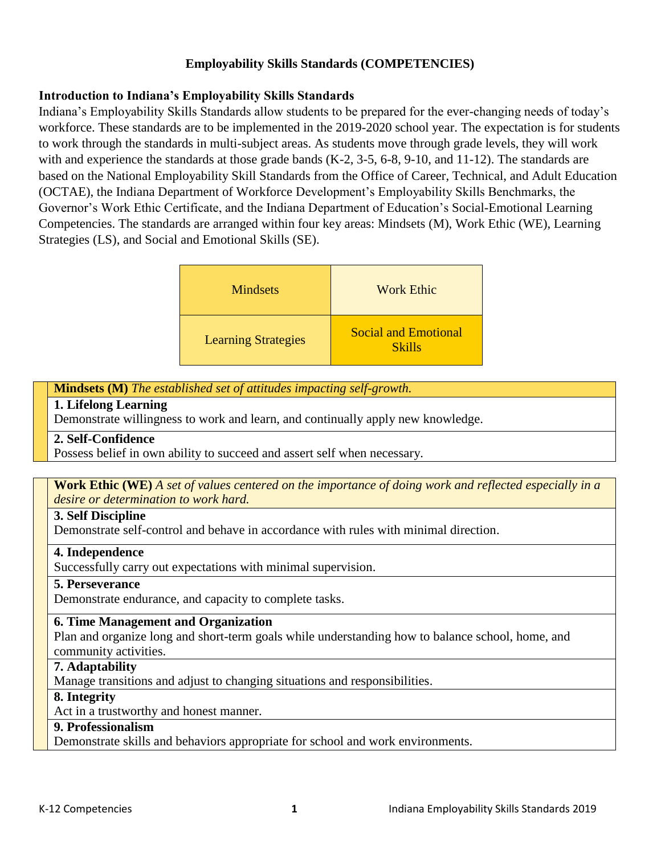# **Employability Skills Standards (COMPETENCIES)**

# **Introduction to Indiana's Employability Skills Standards**

Indiana's Employability Skills Standards allow students to be prepared for the ever-changing needs of today's workforce. These standards are to be implemented in the 2019-2020 school year. The expectation is for students to work through the standards in multi-subject areas. As students move through grade levels, they will work with and experience the standards at those grade bands (K-2, 3-5, 6-8, 9-10, and 11-12). The standards are based on the National Employability Skill Standards from the Office of Career, Technical, and Adult Education (OCTAE), the Indiana Department of Workforce Development's Employability Skills Benchmarks, the Governor's Work Ethic Certificate, and the Indiana Department of Education's Social-Emotional Learning Competencies. The standards are arranged within four key areas: Mindsets (M), Work Ethic (WE), Learning Strategies (LS), and Social and Emotional Skills (SE).

| <b>Mindsets</b>            | <b>Work Ethic</b>                            |
|----------------------------|----------------------------------------------|
| <b>Learning Strategies</b> | <b>Social and Emotional</b><br><b>Skills</b> |

**Mindsets (M)** *The established set of attitudes impacting self-growth.*

### **1. Lifelong Learning**

Demonstrate willingness to work and learn, and continually apply new knowledge.

## **2. Self-Confidence**

Possess belief in own ability to succeed and assert self when necessary.

#### **Work Ethic (WE)** *A set of values centered on the importance of doing work and reflected especially in a desire or determination to work hard.*

## **3. Self Discipline**

Demonstrate self-control and behave in accordance with rules with minimal direction.

## **4. Independence**

Successfully carry out expectations with minimal supervision.

## **5. Perseverance**

Demonstrate endurance, and capacity to complete tasks.

## **6. Time Management and Organization**

Plan and organize long and short-term goals while understanding how to balance school, home, and community activities.

#### **7. Adaptability**

Manage transitions and adjust to changing situations and responsibilities.

### **8. Integrity**

Act in a trustworthy and honest manner.

## **9. Professionalism**

Demonstrate skills and behaviors appropriate for school and work environments.